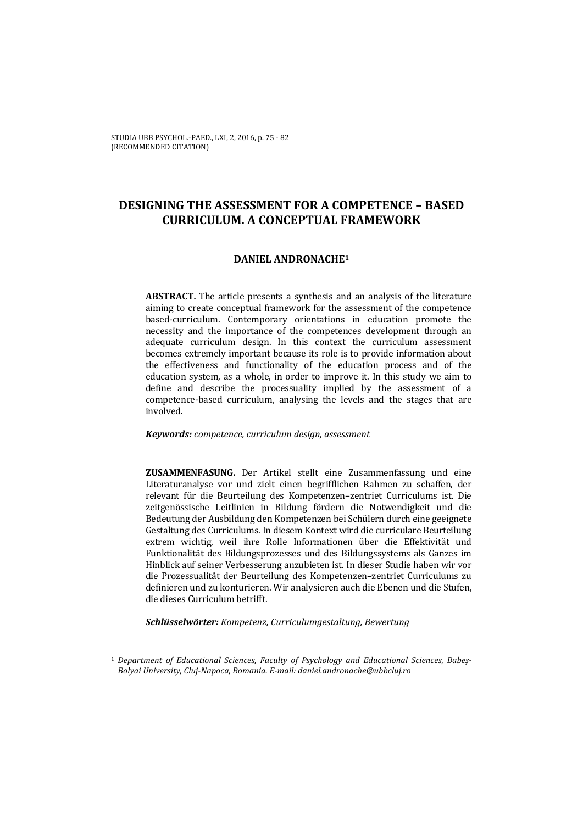# **DESIGNING THE ASSESSMENT FOR A COMPETENCE – BASED CURRICULUM. A CONCEPTUAL FRAMEWORK**

## **DANIEL ANDRONACHE1**

**ABSTRACT.** The article presents a synthesis and an analysis of the literature aiming to create conceptual framework for the assessment of the competence based-curriculum. Contemporary orientations in education promote the necessity and the importance of the competences development through an adequate curriculum design. In this context the curriculum assessment becomes extremely important because its role is to provide information about the effectiveness and functionality of the education process and of the education system, as a whole, in order to improve it. In this study we aim to define and describe the processuality implied by the assessment of a competence-based curriculum, analysing the levels and the stages that are involved. 

#### *Keywords: competence, curriculum design, assessment*

**ZUSAMMENFASUNG.** Der Artikel stellt eine Zusammenfassung und eine Literaturanalyse vor und zielt einen begrifflichen Rahmen zu schaffen, der relevant für die Beurteilung des Kompetenzen-zentriet Curriculums ist. Die zeitgenössische Leitlinien in Bildung fördern die Notwendigkeit und die Bedeutung der Ausbildung den Kompetenzen bei Schülern durch eine geeignete Gestaltung des Curriculums. In diesem Kontext wird die curriculare Beurteilung extrem wichtig, weil ihre Rolle Informationen über die Effektivität und Funktionalität des Bildungsprozesses und des Bildungssystems als Ganzes im Hinblick auf seiner Verbesserung anzubieten ist. In dieser Studie haben wir vor die Prozessualität der Beurteilung des Kompetenzen-zentriet Curriculums zu definieren und zu konturieren. Wir analysieren auch die Ebenen und die Stufen, die dieses Curriculum betrifft. 

*Schlüsselwörter: Kompetenz, Curriculumgestaltung, Bewertung*

<u> 1989 - Jan Samuel Barbara, político establecido de la propia de la propia de la propia de la propia de la pro</u>

<sup>1</sup> *Department of Educational Sciences, Faculty of Psychology and Educational Sciences, Babeş‐ Bolyai University, Cluj‐Napoca, Romania. E‐mail: daniel.andronache@ubbcluj.ro*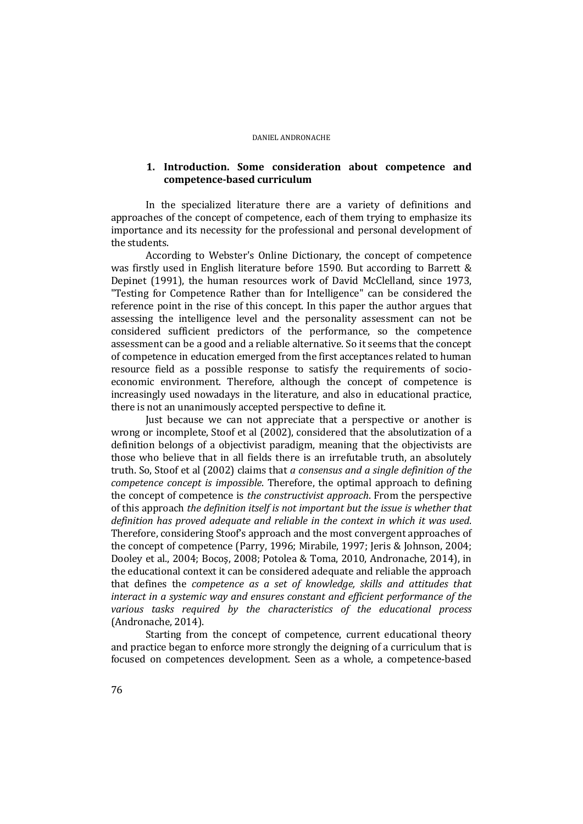# **1. Introduction. Some consideration about competence and competence‐based curriculum**

In the specialized literature there are a variety of definitions and approaches of the concept of competence, each of them trying to emphasize its importance and its necessity for the professional and personal development of the students.

According to Webster's Online Dictionary, the concept of competence was firstly used in English literature before 1590. But according to Barrett  $\&$ Depinet (1991), the human resources work of David McClelland, since 1973, "Testing for Competence Rather than for Intelligence" can be considered the reference point in the rise of this concept. In this paper the author argues that assessing the intelligence level and the personality assessment can not be considered sufficient predictors of the performance, so the competence assessment can be a good and a reliable alternative. So it seems that the concept of competence in education emerged from the first acceptances related to human resource field as a possible response to satisfy the requirements of socioeconomic environment. Therefore, although the concept of competence is increasingly used nowadays in the literature, and also in educational practice, there is not an unanimously accepted perspective to define it.

Just because we can not appreciate that a perspective or another is wrong or incomplete, Stoof et al (2002), considered that the absolutization of a definition belongs of a objectivist paradigm, meaning that the objectivists are those who believe that in all fields there is an irrefutable truth, an absolutely truth. So, Stoof et al (2002) claims that *a consensus and a single definition of the competence concept is impossible*. Therefore, the optimal approach to defining the concept of competence is *the constructivist approach*. From the perspective of this approach *the definition itself is not important but the issue is whether that definition has proved adequate and reliable in the context in which it was used*. Therefore, considering Stoof's approach and the most convergent approaches of the concept of competence (Parry, 1996; Mirabile, 1997; Jeris & Johnson, 2004; Dooley et al., 2004; Bocoş, 2008; Potolea & Toma, 2010, Andronache, 2014), in the educational context it can be considered adequate and reliable the approach that defines the *competence as a set of knowledge, skills and attitudes that interact in a systemic way and ensures constant and efficient performance of the various tasks required by the characteristics of the educational process* (Andronache, 2014).

Starting from the concept of competence, current educational theory and practice began to enforce more strongly the deigning of a curriculum that is focused on competences development. Seen as a whole, a competence-based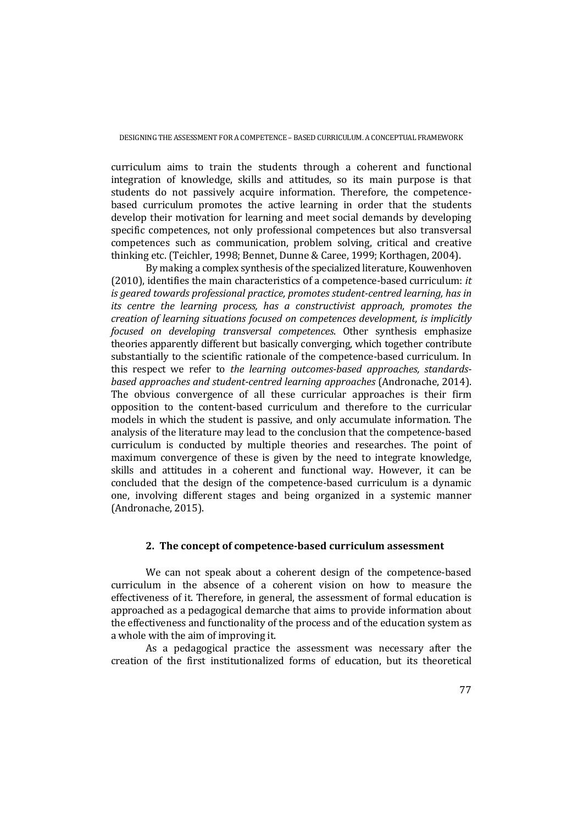curriculum aims to train the students through a coherent and functional integration of knowledge, skills and attitudes, so its main purpose is that students do not passively acquire information. Therefore, the competencebased curriculum promotes the active learning in order that the students develop their motivation for learning and meet social demands by developing specific competences, not only professional competences but also transversal competences such as communication, problem solving, critical and creative thinking etc. (Teichler, 1998; Bennet, Dunne & Caree, 1999; Korthagen, 2004).

By making a complex synthesis of the specialized literature, Kouwenhoven  $(2010)$ , identifies the main characteristics of a competence-based curriculum: *it is geared towards professional practice, promotes student‐centred learning, has in its centre the learning process, has a constructivist approach, promotes the creation of learning situations focused on competences development, is implicitly focused on developing transversal competences*. Other synthesis emphasize theories apparently different but basically converging, which together contribute substantially to the scientific rationale of the competence-based curriculum. In this respect we refer to *the learning outcomes‐based approaches, standards‐ based approaches and student‐centred learning approaches* (Andronache, 2014). The obvious convergence of all these curricular approaches is their firm opposition to the content‐based curriculum and therefore to the curricular models in which the student is passive, and only accumulate information. The analysis of the literature may lead to the conclusion that the competence-based curriculum is conducted by multiple theories and researches. The point of maximum convergence of these is given by the need to integrate knowledge, skills and attitudes in a coherent and functional way. However, it can be concluded that the design of the competence-based curriculum is a dynamic one, involving different stages and being organized in a systemic manner (Andronache, 2015).

### **2. The concept of competence‐based curriculum assessment**

We can not speak about a coherent design of the competence-based curriculum in the absence of a coherent vision on how to measure the effectiveness of it. Therefore, in general, the assessment of formal education is approached as a pedagogical demarche that aims to provide information about the effectiveness and functionality of the process and of the education system as a whole with the aim of improving it.

As a pedagogical practice the assessment was necessary after the creation of the first institutionalized forms of education, but its theoretical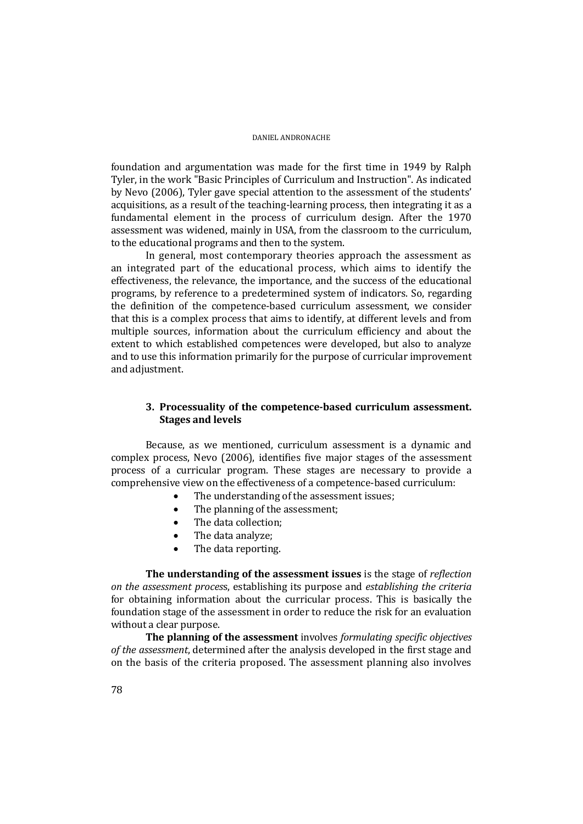foundation and argumentation was made for the first time in 1949 by Ralph Tyler, in the work "Basic Principles of Curriculum and Instruction". As indicated by Nevo (2006), Tyler gave special attention to the assessment of the students' acquisitions, as a result of the teaching-learning process, then integrating it as a fundamental element in the process of curriculum design. After the 1970 assessment was widened, mainly in USA, from the classroom to the curriculum, to the educational programs and then to the system.

In general, most contemporary theories approach the assessment as an integrated part of the educational process, which aims to identify the effectiveness, the relevance, the importance, and the success of the educational programs, by reference to a predetermined system of indicators. So, regarding the definition of the competence-based curriculum assessment, we consider that this is a complex process that aims to identify, at different levels and from multiple sources, information about the curriculum efficiency and about the extent to which established competences were developed, but also to analyze and to use this information primarily for the purpose of curricular improvement and adjustment.

# **3. Processuality of the competence‐based curriculum assessment. Stages and levels**

Because, as we mentioned, curriculum assessment is a dynamic and complex process, Nevo (2006), identifies five major stages of the assessment process of a curricular program. These stages are necessary to provide a comprehensive view on the effectiveness of a competence-based curriculum:

- The understanding of the assessment issues;
- The planning of the assessment;
- $\bullet$  The data collection:
- The data analyze;
- The data reporting.

**The understanding of the assessment issues** is the stage of *reflection on the assessment proces*s, establishing its purpose and *establishing the criteria* for obtaining information about the curricular process. This is basically the foundation stage of the assessment in order to reduce the risk for an evaluation without a clear purpose.

**The planning of the assessment** involves *formulating specific objectives of* the *assessment*, determined after the analysis developed in the first stage and on the basis of the criteria proposed. The assessment planning also involves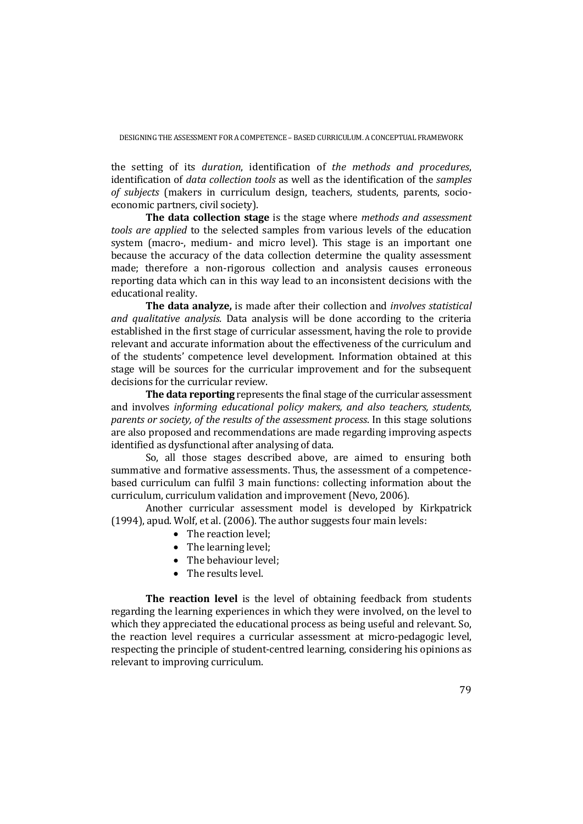DESIGNING THE ASSESSMENT FOR A COMPETENCE - BASED CURRICULUM. A CONCEPTUAL FRAMEWORK

the setting of its *duration*, identification of *the methods and procedures*, identification of *data collection tools* as well as the identification of the *samples of subjects* (makers in curriculum design, teachers, students, parents, socioeconomic partners, civil society).

**The data collection stage** is the stage where *methods and assessment tools are applied* to the selected samples from various levels of the education system (macro-, medium- and micro level). This stage is an important one because the accuracy of the data collection determine the quality assessment made; therefore a non-rigorous collection and analysis causes erroneous reporting data which can in this way lead to an inconsistent decisions with the educational reality.

**The data analyze,** is made after their collection and *involves statistical and qualitative gnalysis*. Data analysis will be done according to the criteria established in the first stage of curricular assessment, having the role to provide relevant and accurate information about the effectiveness of the curriculum and of the students' competence level development. Information obtained at this stage will be sources for the curricular improvement and for the subsequent decisions for the curricular review.

**The data reporting** represents the final stage of the curricular assessment and involves *informing educational policy makers, and also teachers, students, parents or society, of the results of the assessment process*. In this stage solutions are also proposed and recommendations are made regarding improving aspects identified as dysfunctional after analysing of data.

So, all those stages described above, are aimed to ensuring both summative and formative assessments. Thus, the assessment of a competencebased curriculum can fulfil 3 main functions: collecting information about the curriculum, curriculum validation and improvement (Nevo, 2006).

Another curricular assessment model is developed by Kirkpatrick  $(1994)$ , apud. Wolf, et al.  $(2006)$ . The author suggests four main levels:

- The reaction level:
- The learning level:
- The behaviour level:
- $\bullet$  The results level.

**The reaction level** is the level of obtaining feedback from students regarding the learning experiences in which they were involved, on the level to which they appreciated the educational process as being useful and relevant. So, the reaction level requires a curricular assessment at micro-pedagogic level, respecting the principle of student-centred learning, considering his opinions as relevant to improving curriculum.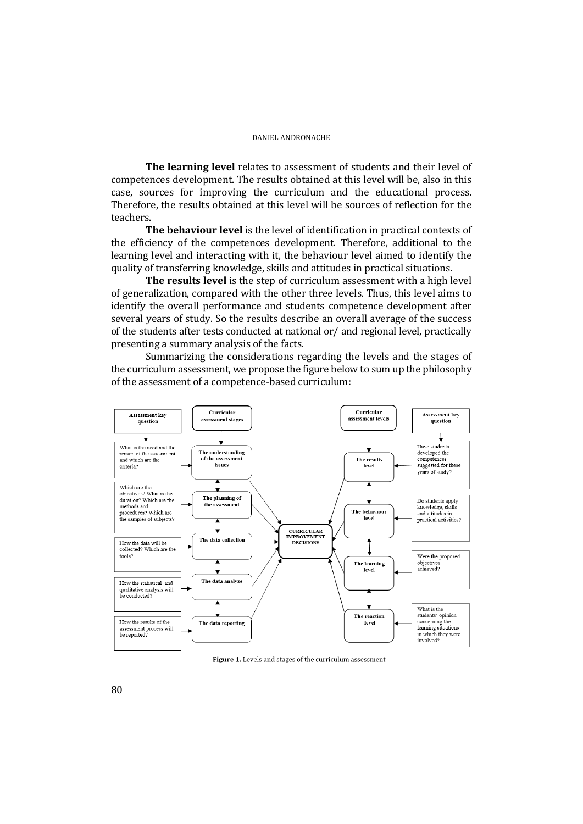**The learning level** relates to assessment of students and their level of competences development. The results obtained at this level will be, also in this case, sources for improving the curriculum and the educational process. Therefore, the results obtained at this level will be sources of reflection for the teachers. 

**The behaviour level** is the level of identification in practical contexts of the efficiency of the competences development. Therefore, additional to the learning level and interacting with it, the behaviour level aimed to identify the quality of transferring knowledge, skills and attitudes in practical situations.

**The results level** is the step of curriculum assessment with a high level of generalization, compared with the other three levels. Thus, this level aims to identify the overall performance and students competence development after several years of study. So the results describe an overall average of the success of the students after tests conducted at national or/ and regional level, practically presenting a summary analysis of the facts.

Summarizing the considerations regarding the levels and the stages of the curriculum assessment, we propose the figure below to sum up the philosophy of the assessment of a competence-based curriculum:



Figure 1. Levels and stages of the curriculum assessment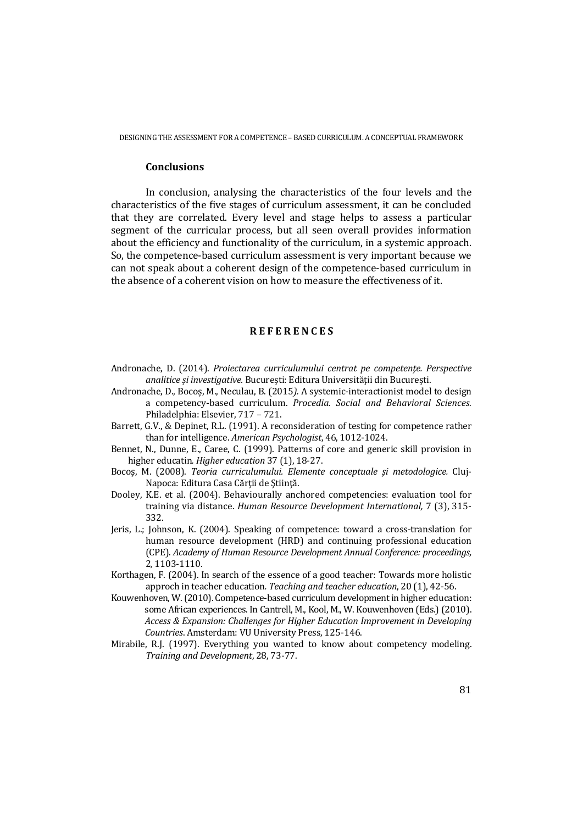### **Conclusions**

In conclusion, analysing the characteristics of the four levels and the characteristics of the five stages of curriculum assessment, it can be concluded that they are correlated. Every level and stage helps to assess a particular segment of the curricular process, but all seen overall provides information about the efficiency and functionality of the curriculum, in a systemic approach. So, the competence-based curriculum assessment is very important because we can not speak about a coherent design of the competence-based curriculum in the absence of a coherent vision on how to measure the effectiveness of it.

### **R E F E R E N C E S**

- Andronache, D. (2014). *Proiectarea curriculumului centrat pe competenţe. Perspective analitice și investigative.* București: Editura Universității din București.
- Andronache, D., Bocoș, M., Neculau, B. (2015). A systemic-interactionist model to design a competency‐based curriculum. *Procedia. Social and Behavioral Sciences.* Philadelphia: Elsevier, 717 - 721.
- Barrett, G.V., & Depinet, R.L. (1991). A reconsideration of testing for competence rather than for intelligence. *American Psychologist*, 46, 1012-1024.
- Bennet, N., Dunne, E., Caree, C. (1999). Patterns of core and generic skill provision in higher educatin. *Higher education* 37 (1), 18-27.
- Bocoş, M. (2008). *Teoria curriculumului. Elemente conceptuale şi metodologice.* Cluj‐ Napoca: Editura Casa Cărtii de Stiință.
- Dooley, K.E. et al. (2004). Behaviourally anchored competencies: evaluation tool for training via distance. *Human Resource Development International,* 7 (3), 315‐ 332.
- Jeris, L.; Johnson, K. (2004). Speaking of competence: toward a cross-translation for human resource development (HRD) and continuing professional education (CPE). *Academy of Human Resource Development Annual Conference: proceedings,* 2*,* 1103‐1110.
- Korthagen, F.  $(2004)$ . In search of the essence of a good teacher: Towards more holistic approch in teacher education*. Teaching and teacher education*, 20 (1), 42‐56.
- Kouwenhoven, W. (2010). Competence-based curriculum development in higher education: some African experiences. In Cantrell, M., Kool, M., W. Kouwenhoven (Eds.) (2010). *Access & Expansion: Challenges for Higher Education Improvement in Developing Countries*. Amsterdam: VU University Press, 125‐146.
- Mirabile, R.J. (1997). Everything you wanted to know about competency modeling. *Training and Development*, 28, 73‐77.